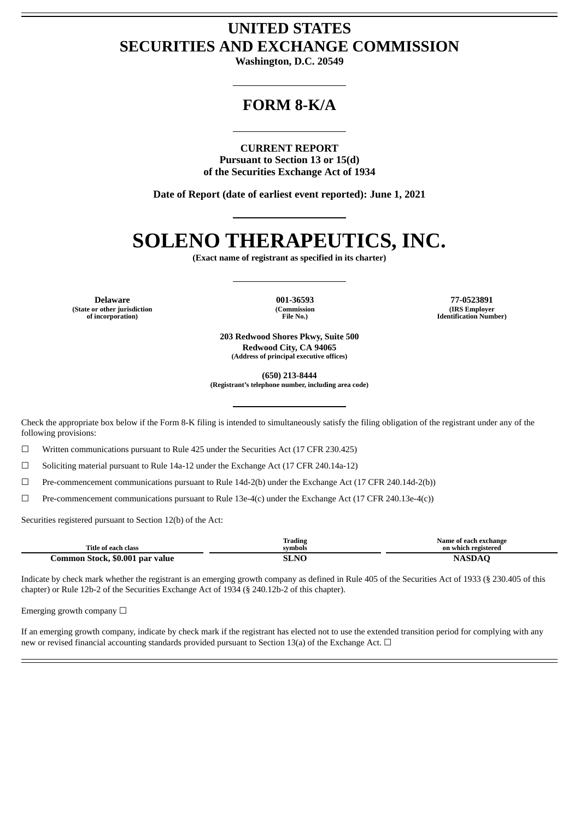## **UNITED STATES SECURITIES AND EXCHANGE COMMISSION**

**Washington, D.C. 20549**

## **FORM 8-K/A**

**CURRENT REPORT Pursuant to Section 13 or 15(d) of the Securities Exchange Act of 1934**

**Date of Report (date of earliest event reported): June 1, 2021**

# **SOLENO THERAPEUTICS, INC.**

**(Exact name of registrant as specified in its charter)**

**(State or other jurisdiction of incorporation)**

**(Commission File No.)**

**Delaware 001-36593 77-0523891 (IRS Employer Identification Number)**

> **203 Redwood Shores Pkwy, Suite 500 Redwood City, CA 94065 (Address of principal executive offices)**

> > **(650) 213-8444**

**(Registrant's telephone number, including area code)**

Check the appropriate box below if the Form 8-K filing is intended to simultaneously satisfy the filing obligation of the registrant under any of the following provisions:

☐ Written communications pursuant to Rule 425 under the Securities Act (17 CFR 230.425)

 $\Box$  Soliciting material pursuant to Rule 14a-12 under the Exchange Act (17 CFR 240.14a-12)

☐ Pre-commencement communications pursuant to Rule 14d-2(b) under the Exchange Act (17 CFR 240.14d-2(b))

☐ Pre-commencement communications pursuant to Rule 13e-4(c) under the Exchange Act (17 CFR 240.13e-4(c))

Securities registered pursuant to Section 12(b) of the Act:

| Title of each class             | <b>Trading</b><br>symbols | Name of each exchange<br>on which registered |
|---------------------------------|---------------------------|----------------------------------------------|
|                                 |                           |                                              |
| Common Stock, \$0.001 par value | <b>SLNC</b>               | <b>NASDAQ</b>                                |

Indicate by check mark whether the registrant is an emerging growth company as defined in Rule 405 of the Securities Act of 1933 (§ 230.405 of this chapter) or Rule 12b-2 of the Securities Exchange Act of 1934 (§ 240.12b-2 of this chapter).

Emerging growth company  $\Box$ 

If an emerging growth company, indicate by check mark if the registrant has elected not to use the extended transition period for complying with any new or revised financial accounting standards provided pursuant to Section 13(a) of the Exchange Act.  $\Box$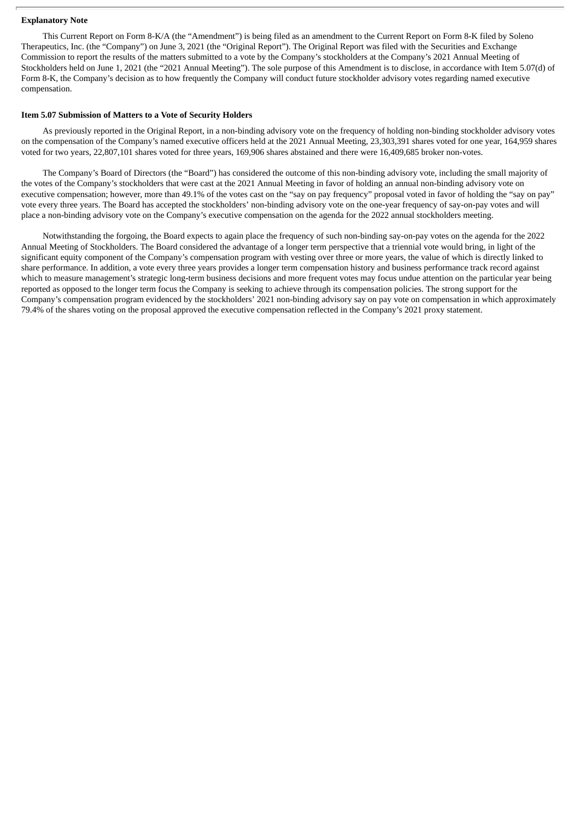#### **Explanatory Note**

This Current Report on Form 8-K/A (the "Amendment") is being filed as an amendment to the Current Report on Form 8-K filed by Soleno Therapeutics, Inc. (the "Company") on June 3, 2021 (the "Original Report"). The Original Report was filed with the Securities and Exchange Commission to report the results of the matters submitted to a vote by the Company's stockholders at the Company's 2021 Annual Meeting of Stockholders held on June 1, 2021 (the "2021 Annual Meeting"). The sole purpose of this Amendment is to disclose, in accordance with Item 5.07(d) of Form 8-K, the Company's decision as to how frequently the Company will conduct future stockholder advisory votes regarding named executive compensation.

#### **Item 5.07 Submission of Matters to a Vote of Security Holders**

As previously reported in the Original Report, in a non-binding advisory vote on the frequency of holding non-binding stockholder advisory votes on the compensation of the Company's named executive officers held at the 2021 Annual Meeting, 23,303,391 shares voted for one year, 164,959 shares voted for two years, 22,807,101 shares voted for three years, 169,906 shares abstained and there were 16,409,685 broker non-votes.

The Company's Board of Directors (the "Board") has considered the outcome of this non-binding advisory vote, including the small majority of the votes of the Company's stockholders that were cast at the 2021 Annual Meeting in favor of holding an annual non-binding advisory vote on executive compensation; however, more than 49.1% of the votes cast on the "say on pay frequency" proposal voted in favor of holding the "say on pay" vote every three years. The Board has accepted the stockholders' non-binding advisory vote on the one-year frequency of say-on-pay votes and will place a non-binding advisory vote on the Company's executive compensation on the agenda for the 2022 annual stockholders meeting.

Notwithstanding the forgoing, the Board expects to again place the frequency of such non-binding say-on-pay votes on the agenda for the 2022 Annual Meeting of Stockholders. The Board considered the advantage of a longer term perspective that a triennial vote would bring, in light of the significant equity component of the Company's compensation program with vesting over three or more years, the value of which is directly linked to share performance. In addition, a vote every three years provides a longer term compensation history and business performance track record against which to measure management's strategic long-term business decisions and more frequent votes may focus undue attention on the particular year being reported as opposed to the longer term focus the Company is seeking to achieve through its compensation policies. The strong support for the Company's compensation program evidenced by the stockholders' 2021 non-binding advisory say on pay vote on compensation in which approximately 79.4% of the shares voting on the proposal approved the executive compensation reflected in the Company's 2021 proxy statement.